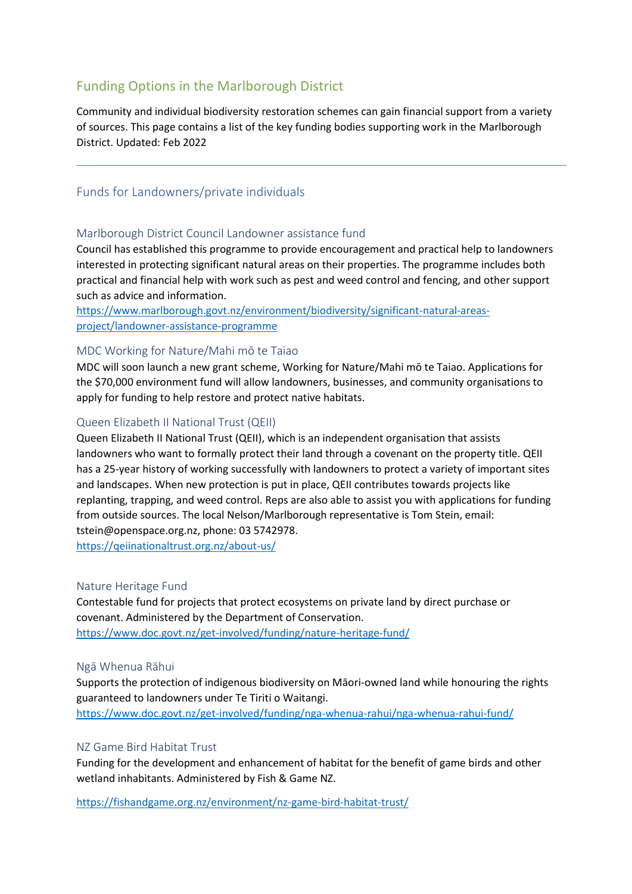# Funding Options in the Marlborough District

Community and individual biodiversity restoration schemes can gain financial support from a variety of sources. This page contains a list of the key funding bodies supporting work in the Marlborough District. Updated: Feb 2022

## Funds for Landowners/private individuals

#### Marlborough District Council Landowner assistance fund

Council has established this programme to provide encouragement and practical help to landowners interested in protecting significant natural areas on their properties. The programme includes both practical and financial help with work such as pest and weed control and fencing, and other support such as advice and information.

[https://www.marlborough.govt.nz/environment/biodiversity/significant-natural-areas](https://www.marlborough.govt.nz/environment/biodiversity/significant-natural-areas-project/landowner-assistance-programme)[project/landowner-assistance-programme](https://www.marlborough.govt.nz/environment/biodiversity/significant-natural-areas-project/landowner-assistance-programme)

#### MDC Working for Nature/Mahi mō te Taiao

MDC will soon launch a new grant scheme, Working for Nature/Mahi mō te Taiao. Applications for the \$70,000 environment fund will allow landowners, businesses, and community organisations to apply for funding to help restore and protect native habitats.

## Queen Elizabeth II National Trust (QEII)

Queen Elizabeth II National Trust (QEII), which is an independent organisation that assists landowners who want to formally protect their land through a covenant on the property title. QEII has a 25-year history of working successfully with landowners to protect a variety of important sites and landscapes. When new protection is put in place, QEII contributes towards projects like replanting, trapping, and weed control. Reps are also able to assist you with applications for funding from outside sources. The local Nelson/Marlborough representative is Tom Stein, email: tstein@openspace.org.nz, phone: 03 5742978.

<https://qeiinationaltrust.org.nz/about-us/>

#### Nature Heritage Fund

Contestable fund for projects that protect ecosystems on private land by direct purchase or covenant. Administered by the Department of Conservation. <https://www.doc.govt.nz/get-involved/funding/nature-heritage-fund/>

#### Ngā Whenua Rāhui

Supports the protection of indigenous biodiversity on Māori-owned land while honouring the rights guaranteed to landowners under Te Tiriti o Waitangi.

<https://www.doc.govt.nz/get-involved/funding/nga-whenua-rahui/nga-whenua-rahui-fund/>

#### NZ Game Bird Habitat Trust

Funding for the development and enhancement of habitat for the benefit of game birds and other wetland inhabitants. Administered by Fish & Game NZ.

<https://fishandgame.org.nz/environment/nz-game-bird-habitat-trust/>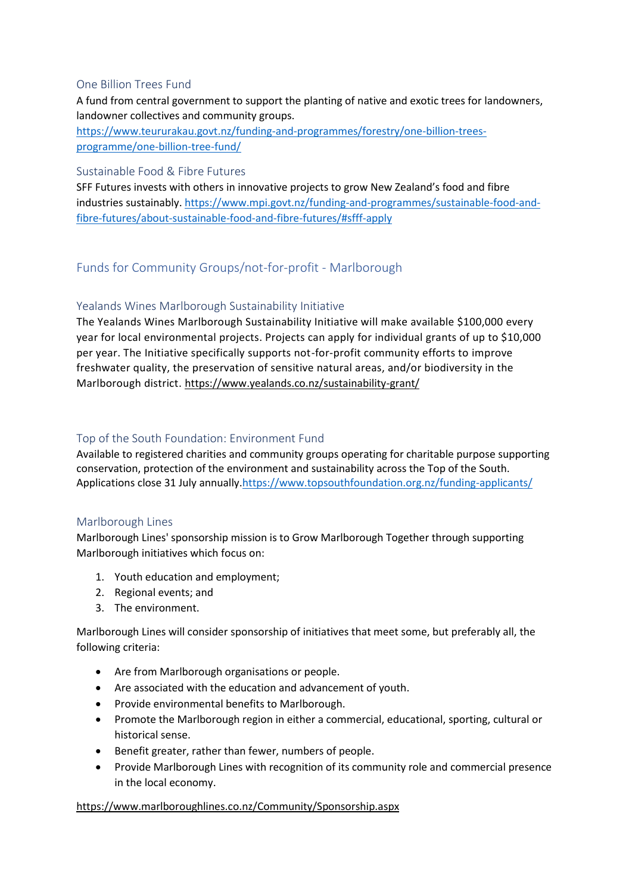#### One Billion Trees Fund

A fund from central government to support the planting of native and exotic trees for landowners, landowner collectives and community groups.

[https://www.teururakau.govt.nz/funding-and-programmes/forestry/one-billion-trees](https://www.teururakau.govt.nz/funding-and-programmes/forestry/one-billion-trees-programme/one-billion-tree-fund/)[programme/one-billion-tree-fund/](https://www.teururakau.govt.nz/funding-and-programmes/forestry/one-billion-trees-programme/one-billion-tree-fund/)

#### Sustainable Food & Fibre Futures

SFF Futures invests with others in innovative projects to grow New Zealand's food and fibre industries sustainably. [https://www.mpi.govt.nz/funding-and-programmes/sustainable-food-and](https://www.mpi.govt.nz/funding-and-programmes/sustainable-food-and-fibre-futures/about-sustainable-food-and-fibre-futures/#sfff-apply)[fibre-futures/about-sustainable-food-and-fibre-futures/#sfff-apply](https://www.mpi.govt.nz/funding-and-programmes/sustainable-food-and-fibre-futures/about-sustainable-food-and-fibre-futures/#sfff-apply)

## Funds for Community Groups/not-for-profit - Marlborough

## Yealands Wines Marlborough Sustainability Initiative

The Yealands Wines Marlborough Sustainability Initiative will make available \$100,000 every year for local environmental projects. Projects can apply for individual grants of up to \$10,000 per year. The Initiative specifically supports not-for-profit community efforts to improve freshwater quality, the preservation of sensitive natural areas, and/or biodiversity in the Marlborough district. <https://www.yealands.co.nz/sustainability-grant/>

## Top of the South Foundation: Environment Fund

Available to registered charities and community groups operating for charitable purpose supporting conservation, protection of the environment and sustainability across the Top of the South. Applications close 31 July annually[.https://www.topsouthfoundation.org.nz/funding-applicants/](https://www.topsouthfoundation.org.nz/funding-applicants/)

#### Marlborough Lines

Marlborough Lines' sponsorship mission is to Grow Marlborough Together through supporting Marlborough initiatives which focus on:

- 1. Youth education and employment;
- 2. Regional events; and
- 3. The environment.

Marlborough Lines will consider sponsorship of initiatives that meet some, but preferably all, the following criteria:

- Are from Marlborough organisations or people.
- Are associated with the education and advancement of youth.
- Provide environmental benefits to Marlborough.
- Promote the Marlborough region in either a commercial, educational, sporting, cultural or historical sense.
- Benefit greater, rather than fewer, numbers of people.
- Provide Marlborough Lines with recognition of its community role and commercial presence in the local economy.

#### <https://www.marlboroughlines.co.nz/Community/Sponsorship.aspx>